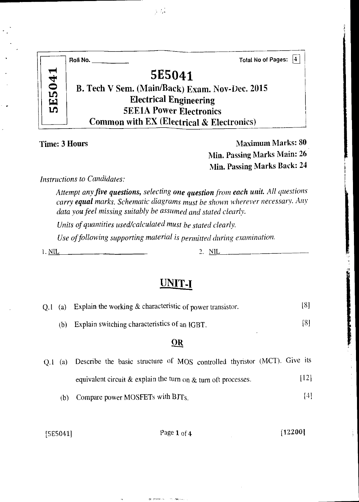|                | Roll No.                                             | Total No of Pages: 4 |
|----------------|------------------------------------------------------|----------------------|
| 5041           | 5E5041                                               |                      |
|                | B. Tech V Sem. (Main/Back) Exam. Nov-Dec. 2015       |                      |
| $\mathbf{\Xi}$ | <b>Electrical Engineering</b>                        |                      |
| ທ              | <b>5EE1A Power Electronics</b>                       |                      |
|                | <b>Common with EX (Electrical &amp; Electronics)</b> |                      |

 $\gamma \, L$ 

Time: 3 Hours Maximum Marks: 80 Min. Passing Marks Main: 26 Min. Passing Marks Back: 24

*Instructions to Candidates:* 

*Attempt any five questions, selecting one question from each unit. All questions carry equal marks. Schematic diagrams must be shown wherever necessary. Any data you feel missing suitably be assumed and stated clearly.* 

*Units of quantities used/calculated must be stated clearly.* 

*Use of following supporting material is permitted during examination.* 

I. NIL 2. NIL

### UNIT-I

| $Q.1$ (a) |     | Explain the working & characteristic of power transistor.                | [8]  |
|-----------|-----|--------------------------------------------------------------------------|------|
|           | (b) | Explain switching characteristics of an IGBT.                            | [8]  |
|           |     | $\overline{\mathbf{O}}$ R                                                |      |
| O.I       | (a) | Describe the basic structure of MOS controlled thyristor (MCT). Give its |      |
|           |     | equivalent circuit & explain the turn on $&$ turn oft processes.         | [12] |
|           | (b) | Compare power MOSFETs with BJTs.                                         | [4]  |

 $[5E5041]$  Page 1 of 4  $[12200]$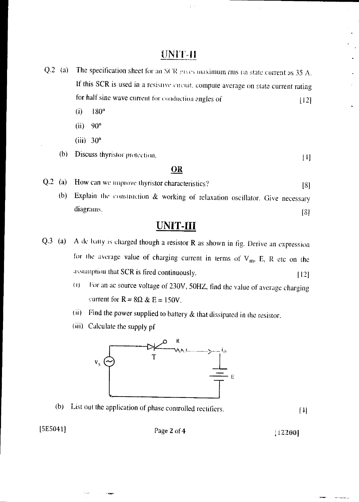### UNIT-II

- Q.2 (a) The specification sheet for an SCR gives maximum rms on state current as 35 A. If this SCR is used in a resistive circuit, compute average on state current rating for half sine wave current for conduction angles of  $[12]$ 
	- $(i)$  180 $^{\circ}$
	- (ii) 90°
	- (iii) 30°
	- (b) Discuss thyristor protection. [4]

#### OR

- Q.2 (a) How can we improve thyristor characteristics? [8]
	- (b) Explain the construction & working of relaxation oscillator. Give necessary  $diagrams.$  181

### UNIT-III

- $Q.3$  (a) A de batty is charged though a resistor R as shown in fig. Derive an expression for the average value of charging current in terms of  $V_m$ , E, R etc on the assumption that SCR is fired continuously. [12]
	- (11 l'or an ac source voltage of 230V, 50HZ, find the value of average charging current for  $R = 8\Omega \& E = 150V$ .
	- (ii) Find the power supplied to battery & that dissipated in the resistor.
	- (iii) Calculate the supply pf



(b) List out the application of phase controlled rectifiers.

 $[4]$ 

ليبرد

 $[5E5041]$  Page 2 of 4  $[12200]$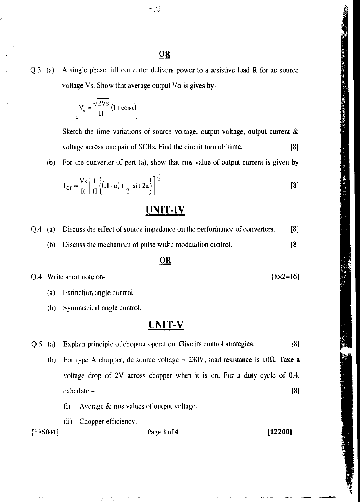Q.3 (a) A single phase full converter delivers power to a resistive load R for ac source voltage Vs. Show that average output Vo is gives by-

$$
\[ \nabla_{\alpha} = \frac{\sqrt{2Vs}}{\Pi} (1 + \cos \alpha) \]
$$

Sketch the time variations of source voltage, output voltage, output current  $\&$ voltage across one pair of SCRs. Find the circuit turn off time. [8]

(b) For the converter of pert (a), show that rms value of output current is given by

$$
I_{or} = \frac{V_s}{R} \left[ \frac{1}{\Pi} \left\{ (\Pi - \alpha) + \frac{1}{2} \sin 2\alpha \right\} \right]^{1/2}
$$
 [8]

### UNIT-IV

Q.4 (a) Discuss the effect of source impedance on the performance of converters. [8]

(b) Discuss the mechanism of pulse width modulation control. [8]

#### **OR**

 $Q.4$  Write short note on- [8 $\times$ 2=16]

(a) Extinction angle control.

(b) Symmetrical angle control.

### UNIT-V

Q.5 (a) Explain principle of chopper operation. Give its control strategies. [8]

- (b) For type A chopper, dc source voltage = 230V, load resistance is  $10\Omega$ . Take a voltage drop of 2V across chopper when it is on. For a duty cycle of 0.4, Explain principle of chopper operation. Give its control strategies. [8]<br>For type A chopper, dc source voltage = 230V, load resistance is  $10\Omega$ . Take a<br>voltage drop of 2V across chopper when it is on. For a duty cycle of
	- Average & rms values of output voltage.
	- (ii) Chopper efficiency.

[5E5041] Page 3 of **4 [12200]**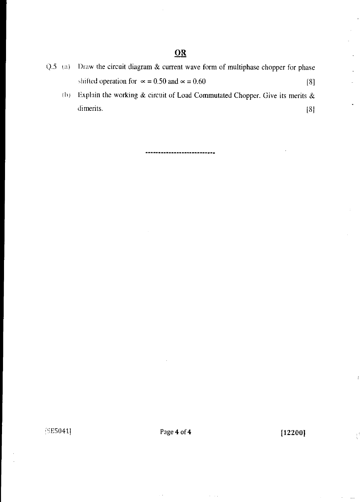- Q.5 ia) Draw the circuit diagram & current wave form of multiphase chopper for phase shifted operation for  $\infty = 0.50$  and  $\infty = 0.60$  [8]
	- (I)) Explain the working *&* circuit of Load Commutated Chopper. Give its merits & dimerits. [8]

.......................

5E5041] Page **4** of **4** [12200]

 $\bar{\mathcal{O}}$  .

 $\frac{1}{2}$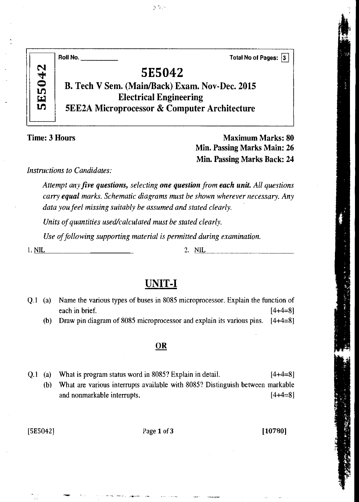| 5E5042 |                               |                                                                                                           |
|--------|-------------------------------|-----------------------------------------------------------------------------------------------------------|
|        |                               |                                                                                                           |
|        |                               |                                                                                                           |
|        |                               |                                                                                                           |
|        |                               |                                                                                                           |
|        | <b>Electrical Engineering</b> | B. Tech V Sem. (Main/Back) Exam. Nov-Dec. 2015<br><b>5EE2A Microprocessor &amp; Computer Architecture</b> |

Time: 3 Hours Maximum Marks: 80 Min. Passing Marks Main: 26 Min. Passing Marks Back: 24

*Instructions to Candidates:* 

*Attempt any five questions, selecting one question from each unit. All questions carry equal marks. Schematic diagrams must be shown wherever necessary. Any data you feel missing suitably be assumed and stated clearly.* 

*Units of quantities used/calculated must be stated clearly.* 

*Use of following supporting material is permitted during examination.* 

1. NIL 2. NIL

### **UNIT-I**

| $O.1$ (a) | Name the various types of buses in 8085 microprocessor. Explain the function of     |           |
|-----------|-------------------------------------------------------------------------------------|-----------|
|           | each in brief.                                                                      | $[4+4=8]$ |
|           | (b) Draw pin diagram of 8085 microprocessor and explain its various pins. $[4+4=8]$ |           |

OR

Q.1 (a) What is program status word in 8085? Explain in detail.  $[4+4=8]$ (b) What are various interrupts available with 8085? Distinguish between markable and nonmarkable interrupts. [4+4=8]

[5E5042] Page 1 of 3 [10780]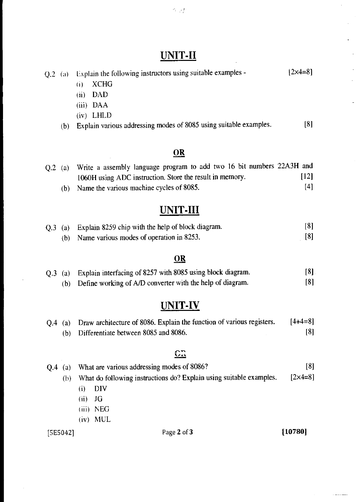# UNIT-II

| $Q.2$ (a) |                   | Explain the following instructors using suitable examples -           | $[2 \times 4 = 8]$ |
|-----------|-------------------|-----------------------------------------------------------------------|--------------------|
|           |                   | <b>XCHG</b><br>(i)                                                    |                    |
|           |                   | <b>DAD</b><br>(n)                                                     |                    |
|           |                   | <b>DAA</b><br>(iii)                                                   |                    |
|           |                   | $(iv)$ LHLD                                                           |                    |
|           | (b)               | Explain various addressing modes of 8085 using suitable examples.     | [8]                |
|           |                   | $\overline{OR}$                                                       |                    |
| $Q.2$ (a) |                   | Write a assembly language program to add two 16 bit numbers 22A3H and |                    |
|           |                   | 1060H using ADC instruction. Store the result in memory.              | $[12]$             |
|           | (b)               | Name the various machine cycles of 8085.                              | [4]                |
|           |                   | <b>UNIT-III</b>                                                       |                    |
| Q.3       | $\left( a\right)$ | Explain 8259 chip with the help of block diagram.                     | [8]                |
|           | (b)               | Name various modes of operation in 8253.                              | [8]                |
|           |                   | <u>OR</u>                                                             |                    |
| Q.3       | (a)               | Explain interfacing of 8257 with 8085 using block diagram.            | [8]                |
|           | (b)               | Define working of A/D converter with the help of diagram.             | [8]                |
|           |                   |                                                                       |                    |

# UNIT-IV

|  | Q.4 (a) Draw architecture of 8086. Explain the function of various registers. | $[4+4=8]$ |
|--|-------------------------------------------------------------------------------|-----------|
|  | (b) Differentiate between 8085 and 8086.                                      | [8]       |

# $\overline{\text{C2}}$

| O.4<br>(a) | What are various addressing modes of 8086?                          | [8]                |
|------------|---------------------------------------------------------------------|--------------------|
| (b)        | What do following instructions do? Explain using suitable examples. | $[2 \times 4 = 8]$ |
|            | DIV<br>(1)                                                          |                    |
|            | JG<br>(ii)                                                          |                    |
|            | $(iii)$ NEG                                                         |                    |
|            | <b>MUL</b><br>(iv)                                                  |                    |
| [5E5042]   | Page 2 of 3                                                         | [10780]            |

 $\sim$  and we consider

 $\mathbb{R}^2$ 

 $\ddot{\phantom{a}}$ k,

 $\overline{a}$ 

 $\frac{1}{2}$ 

 $\sigma_{\rm eff}$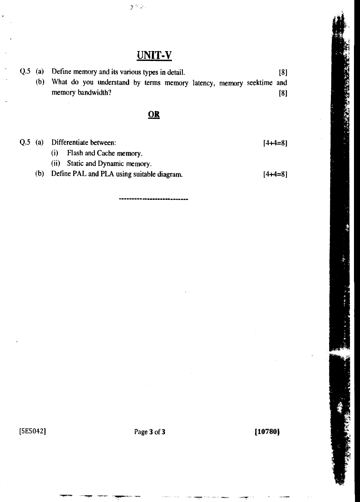# UNIT-V

 $\chi \gg \lambda$ 

|  | $Q.5$ (a) Define memory and its various types in detail.            | 181               |
|--|---------------------------------------------------------------------|-------------------|
|  | What do you understand by terms memory latency, memory seektime and |                   |
|  | memory bandwidth?                                                   | $\lceil 8 \rceil$ |

**OR** 

Q.5 (a) Differentiate between:

(i) Flash and Cache memory.

- (ii) Static and Dynamic memory.
- (b) Define PAL and PLA using suitable diagram.

[4+4=8]

 $[4+4=8]$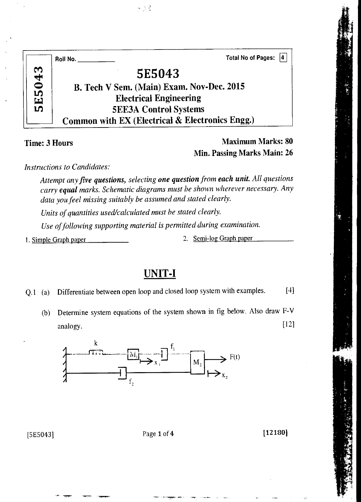|               | <b>Total No of Pages:</b><br>14<br>Roll No.     |
|---------------|-------------------------------------------------|
|               | 5E5043                                          |
| <b>5E5043</b> | B. Tech V Sem. (Main) Exam. Nov-Dec. 2015       |
|               | <b>Electrical Engineering</b>                   |
|               | <b>5EE3A Control Systems</b>                    |
|               | Common with EX (Electrical & Electronics Engg.) |

 $\gamma \gtrsim \zeta$ 

Time: 3 Hours Maximum Marks: 80 Min. Passing Marks Main: 26

*Instructions to Candidates:* 

*Attempt any five questions, selecting one question from each unit. All questions carry equal marks. Schematic diagrams must be shown wherever necessary. Any data you feel missing suitably be assumed and stated clearly.* 

*Units of quantities used/calculated must be stated clearly.* 

*Use of following supporting material is permitted during examination.* 

1. Simple Graph paper 2. Semi-log Graph paper

UNIT-I

Q.1 (a) Differentiate between open loop and closed loop system with examples. [4]

(b) Determine system equations of the system shown in fig below. Also draw F-V  $analogy.$  [12]



[5E5043] Page 1 of 4 [12180]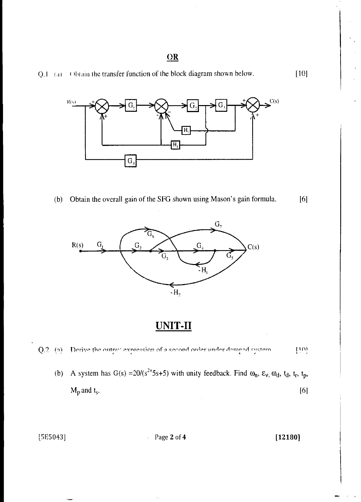Q.1 (a) Obtain the transfer function of the block diagram shown below. [10]



(b) Obtain the overall gain of the SFG shown using Mason's gain formula. [6]



UNIT-II



(b) A system has G(s) =  $20/(s^{2+}5s+5)$  with unity feedback. Find  $\omega_n$ ,  $\varepsilon_v$ ,  $\omega_d$ ,  $t_d$ ,  $t_r$ ,  $t_p$ ,  $M_p$  and  $t_s$ . [6]

[5E5043] Page 2 of 4 [12180]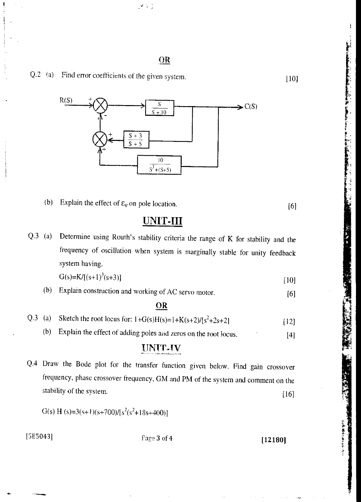ز با الان



(b) Explain the effect of  $\varepsilon_v$  on pole location. [6]

大学の大学の あからある あんかん

## UNIT-III

Q.3 (a) Determine using Routh's stability criteria the range of K for stability and the frequency of oscillation when system is marginally stable for unity feedback system having.

$$
G(s) = K/[(s+1)^3(s+3)] \tag{10}
$$

(b) Explain construction and working of AC servo motor. [6]

#### OR

- Q.3 (a) Sketch the root locus for:  $1+G(s)H(s)=1+K(s+2)/[s^2+2s+2]$  [12]
	- (b) Explain the effect of adding poles and zeros on the root locus. [4]

#### UNIT-IV

Q.4 Draw the Bode plot for the transfer function given below. Find gain crossover frequency, phase crossover frequency, GM and PM of the system and comment on the stability of the system. [16]

G(s) H (s)=3(s+1)(s+700)/[s<sup>2</sup>(s<sup>2</sup>+18s+400)]

[5E5043] Page 3 of 4 [12180]

Q.2 (a) Find error coefficients of the given system. [10]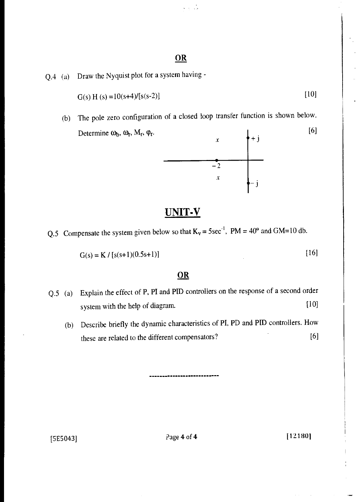$\epsilon_{\rm eff}$  ,  $\epsilon_{\rm eff}$ 

Q.4 (a) Draw the Nyquist plot for a system having -

$$
G(s) H(s) = 10(s+4) / [s(s-2)]
$$
 [10]

(b) The pole zero configuration of a closed loop transfer function is shown below. Determine  $\omega_b$ ,  $\omega_r$ ,  $M_r$ ,  $\varphi_r$ . [6]



### UNIT-V

Q.5 Compensate the system given below so that  $K_v = 5$ sec<sup>-1</sup>, PM = 40° and GM=10 db.

$$
G(s) = K / [s(s+1)(0.5s+1)]
$$
 [16]

#### **OR**

- Q.5 (a) Explain the effect of P, PI and PID controllers on the response of a second order system with the help of diagram. [10]
	- (b) Describe briefly the dynamic characteristics of PI, PD and PID controllers. How these are related to the different compensators? [6]

[5E5043] Page 4 of 4 12180]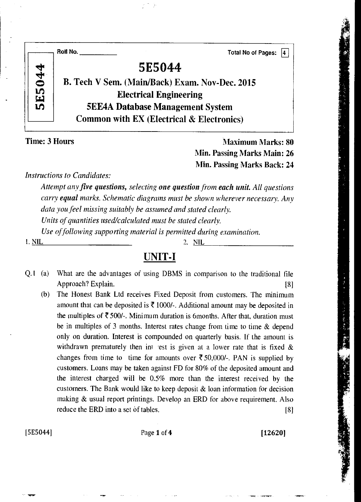|               | Roll No.<br><b>Total No of Pages:</b>                |
|---------------|------------------------------------------------------|
|               | 5E5044                                               |
| <b>5E5044</b> | B. Tech V Sem. (Main/Back) Exam. Nov-Dec. 2015       |
|               | <b>Electrical Engineering</b>                        |
|               | <b>5EE4A Database Management System</b>              |
|               | <b>Common with EX (Electrical &amp; Electronics)</b> |
|               |                                                      |

Time: 3 Hours Maximum Marks: 80 Min. Passing Marks Main: 26 Min. Passing Marks Back: 24

*Instructions to Candidates:* 

*Attempt any five questions, selecting one question from each unit. All questions carry equal marks. Schematic diagrams must be shown wherever necessary. Any data you feel missing suitably be assumed and stated clearly.* 

*Units of quantities used/calculated must be stated clearly.* 

*Use of following supporting material is permitted during examination.* 

I. NIL 2. NIL

### UNIT-I

- Q.1 (a) What are the advantages of using DBMS in comparison to the traditional file Approach? Explain. [8]
	- (b) The Honest Bank Ltd receives Fixed Deposit from customers. The minimum amount that can be deposited is  $\bar{\mathfrak{F}}$  1000/-. Additional amount may be deposited in the multiples of  $\bar{\mathfrak{F}}$  500/-. Minimum duration is 6months. After that, duration must be in multiples of 3 months. Interest rates change from time to time & depend only on duration. Interest is compounded on quarterly basis. If the amount is withdrawn prematurely then int rest is given at a lower rate that is fixed  $\&$ changes from time to time for amounts over  $\overline{\xi}$  50,000/-. PAN is supplied by customers. Loans may be taken against FD for 80% of the deposited amount and the interest charged will be 0.5% more than the interest received by the customers. The Bank would like to keep deposit & loan information for decision making & usual report printings. Develop an ERD for above requirement. Also reduce the ERD into a set of tables. [8]

[5E5044] Page 1 of 4 [12620]

**Magazine Seattle Montant Commander Seattle**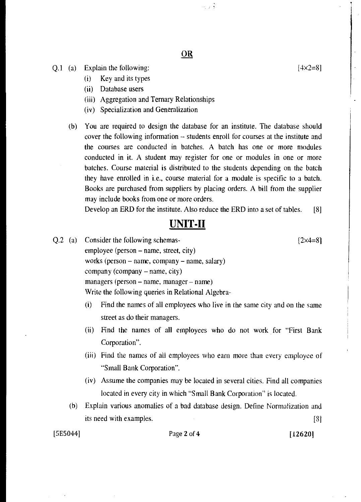녹고 후

- Q.1 (a) Explain the following:
	- (i) Key and its types
	- (ii) Database users
	- (iii) Aggregation and Ternary Relationships
	- (iv) Specialization and Generalization
	- (b) You are required to design the database for an institute. The database should cover the following information -- students enroll for courses at the institute and the courses are conducted in batches. A batch has one or more modules conducted in it. A student may register for one or modules in one or more batches. Course material is distributed to the students depending on the batch they have enrolled in i.e., course material for a module is specific to a batch. Books are purchased from suppliers by placing orders. A bill from the supplier may include books from one or more orders.

Develop an ERD for the institute. Also reduce the ERD into a set of tables. [8]

### UNIT-II

- Q.2 (a) Consider the following schemas-  $[2 \times 4=8]$ employee (person — name, street, city) works (person — name, company — name, salary) company (company — name, city) managers (person — name, manager — name) Write the following queries in Relational Algebra-
	- (i) Find the names of all employees who live in the same city and on the same street as do their managers.
	- (ii) Find the names of all employees who do not work for "First Bank Corporation".
	- (iii) Find the names of all employees who earn more than every employee of "Small Bank Corporation".
	- (iv) Assume the companies may be located in several cities. Find all companies located in every city in which "Small Bank Corporation" is located.
	- (b) Explain various anomalies of a bad database design. Define Normalization and its need with examples. [8]

#### [5E5044] Page 2 of 4 [12620]

 $[4 \times 2 = 8]$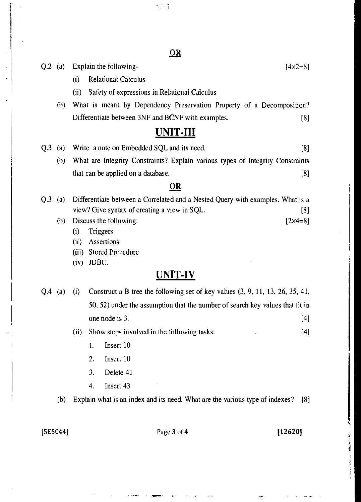- Q.2 (a) Explain the following-  $[4 \times 2 = 8]$ 
	- (i) Relational Calculus
	- (ii) Safety of expressions in Relational Calculus
	- (b) What is meant by Dependency Preservation Property of a Decomposition? Differentiate between 3NF and BCNF with examples. [8]

### UNIT-III

- Q.3 (a) Write a note on Embedded SQL and its need. [8]
	- (b) What are Integrity Constraints? Explain various types of Integrity Constraints that can be applied on a database. [8]

#### OR

- Q.3 (a) Differentiate between a Correlated and a Nested Query with examples. What is a view? Give syntax of creating a view in SQL. [8]
	- (b) Discuss the following:  $[2 \times 4=8]$ 
		- (i) Triggers
		- (ii) Assertions
		- (iii) Stored Procedure
		- (iv) JDBC.

### UNIT-IV

Q.4 (a) (i) Construct a B tree the following set of key values (3, 9, 11, 13, 26, 35, 41, 50, 52) under the assumption that the number of search key values that fit in one node is 3. [4]

(ii) Show steps involved in the following tasks: [4]

- 1. Insert 10
- 2. Insert 10
- 3. Delete 41
- 4. Insert 43

(b) Explain what is an index and its need. What are the various type of indexes? [8]

 $[5E5044]$  Page 3 of 4 [12620]

 $\mathbb{R} \setminus \mathbb{R}$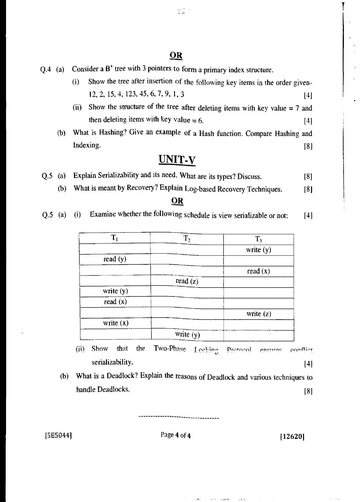- $Q.4$  (a) Consider a B<sup>+</sup> tree with 3 pointers to form a primary index structure.
	- (i) Show the tree after insertion of the following key items in the order given-12, 2, 15, 4, 123. 45, 6, 7, 9, 1,3 [4]
	- (ii) Show the structure of the tree after deleting items with key value  $= 7$  and then deleting items with key value  $= 6$ . [4]
	- (b) What is Hashing? Give an example of a Hash function. Compare Hashing and Indexing. [8]

## UNIT-v

- Q.5 (a) Explain Serializability and its need. What are its types? Discuss. [8]
	- (b) What is meant by Recovery? Explain Log-based Recovery Techniques. [8]

#### **OR**

Q.5 (a) (i) Examine whether the following schedule is view serializable or not: [4]

| T.          | $T_2$       | $T_3$       |
|-------------|-------------|-------------|
|             |             | write $(y)$ |
| read (y)    |             |             |
|             |             | read $(x)$  |
|             | read $(z)$  |             |
| write (y)   |             |             |
| read(x)     |             |             |
|             |             | write $(z)$ |
| write $(x)$ |             |             |
|             | write $(y)$ |             |

(ii) Show that the Two-Phase Lecking Protocol ensures conflict serializability. [4]

> $\sim 1000$  and  $\sim$  $\mathcal{O}(2)$

 $\pi, \pi, \gamma$ 

(b) What is a Deadlock? Explain the reasons of Deadlock and various techniques to handle Deadlocks. [8]

----------------------------------

 $[5E5044]$  Page 4 of 4  $[12620]$ 

 $\mathbb{Z}^{\mathcal{F}\times \mathcal{F}}$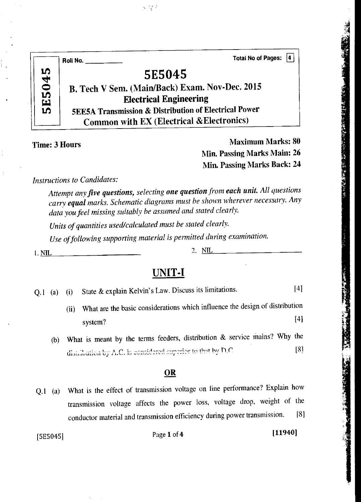|              | <b>Total No of Pages:</b><br>14.<br>Roll No. $\qquad$            |
|--------------|------------------------------------------------------------------|
| ŋ            | <b>5E5045</b>                                                    |
| <b>5E504</b> | B. Tech V Sem. (Main/Back) Exam. Nov-Dec. 2015                   |
|              | <b>Electrical Engineering</b>                                    |
|              | <b>5EE5A Transmission &amp; Distribution of Electrical Power</b> |
|              | <b>Common with EX (Electrical &amp; Electronics)</b>             |

 $5.5\%$ 

Time: 3 Hours Maximum Marks: 80 Min. Passing Marks Main: 26 Min. Passing Marks Back: 24 *Instructions to Candidates:* 

*Attempt any five questions, selecting one question from each unit. All questions carry equal marks. Schematic diagrams must be shown wherever necessary. Any data you feel missing suitably be assumed and stated clearly.* 

*Units of quantities used/calculated must be stated clearly.* 

*Use of following supporting material is permitted during examination.* 

1. NIL 2. NIL

### **UNIT-I**

|  |  |  | Q.1 (a) (i) State & explain Kelvin's Law. Discuss its limitations. | [4] |
|--|--|--|--------------------------------------------------------------------|-----|
|--|--|--|--------------------------------------------------------------------|-----|

- (ii) What are the basic considerations which influence the design of distribution system? [4]
- (b) What is meant by the terms feeders, distribution & service mains? Why the distribution by A.C. is considered superior to that by  $D.C$  [8]

#### **OR**

Q.1 (a) What is the effect of transmission voltage on line performance? Explain how transmission voltage affects the power loss, voltage drop, weight of the conductor material and transmission efficiency during power transmission. [8]

[5E5045] Page 1 of **4 [11940]**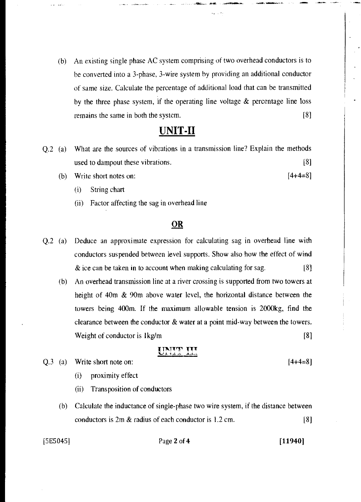(b) An existing single phase AC system comprising of two overhead conductors is to be converted into a 3-phase, 3-wire system by providing an additional conductor of same size. Calculate the percentage of additional load that can be transmitted by the three phase system, if the operating line voltage & percentage line loss remains the same in both the system. [8]

### UNIT-II

- Q.2 (a) What are the sources of vibrations in a transmission line? Explain the methods used to dampout these vibrations. [8]
	- (b) Write short notes on:  $[4+4=8]$ 
		- (i) String chart
		- (ii) Factor affecting the sag in overhead line

#### OR

- Q.2 (a) Deduce an approximate expression for calculating sag in overhead line with conductors suspended between level supports. Show also how the effect of wind  $\&$  ice can be taken in to account when making calculating for sag.  $[8]$ 
	- (b) An overhead transmission line at a river crossing is supported from two towers at height of 40m & 90m above water level, the horizontal distance between the towers being 400m. If the maximum allowable tension is 2000kg, find the clearance between the conductor & water at a point mid-way between the towers. Weight of conductor is lkg/m [8]

### ukti Titli

- $Q.3$  (a) Write short note on:  $[4+4=8]$ 
	- (i) proximity effect
	- (ii) Transposition of conductors
	- (b) Calculate the inductance of single-phase two wire system, if the distance between conductors is 2m & radius of each conductor is 1.2 cm. [8]

#### [5E5045] Page 2 of 4 [11940]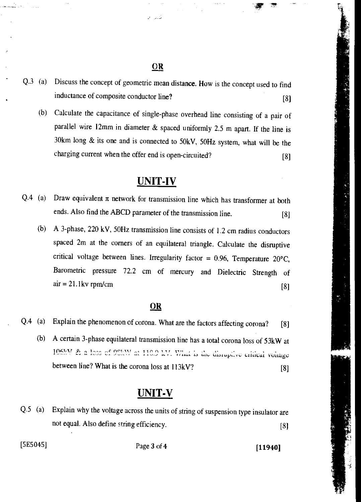كالحيان

- Q.3 (a) Discuss the concept of geometric mean distance. How is the concept used to find inductance of composite conductor line? [8]
	- (b) Calculate the capacitance of single-phase overhead line consisting of a pair of parallel wire 12mm in diameter & spaced uniformly 2.5 m apart. If the line is 30km long & its one and is connected to 50kV, 50Hz system, what will be the charging current when the offer end is open-circuited? [8]

### **UNIT-IV**

- Q.4 (a) Draw equivalent  $\pi$  network for transmission line which has transformer at both ends. Also find the ABCD parameter of the transmission line. [8]
	- (b) A 3-phase, 220 kV, 50Hz transmission line consists of 1.2 cm radius conductors spaced 2m at the corners of an equilateral triangle. Calculate the disruptive critical voltage between lines. Irregularity factor =  $0.96$ , Temperature 20°C, Barometric pressure 72.2 cm of mercury and Dielectric Strength of air = 21.1kv rpm/cm **[8]**

#### **OR**

- Q.4 (a) Explain the phenomenon of corona. What are the factors affecting corona? [8]
	- (b) A certain 3-phase equilateral transmission line has a total corona loss of 53kW at 106kV & a loss of 98kW at 110.9 kV. What is the disruptive critical voltage between line? What is the corona loss at 113kV? [8]

### **UNIT-V**

Q.5 (a) Explain why the voltage across the units of string of suspension type insulator are not equal. Also define string efficiency. **[8] [8]** 

[5E5045] Page 3 of **4 [11940]**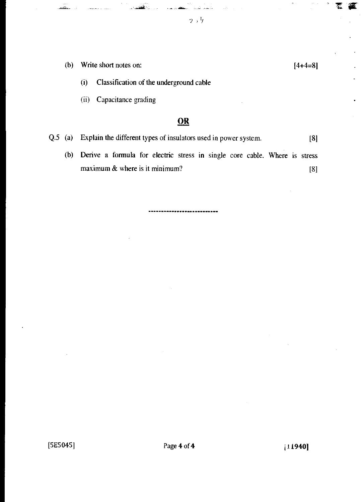- (b) Write short notes on:  $[4+4=8]$ 
	- (i) Classification of the underground cable
	- (ii) Capacitance grading

Q.5 (a) Explain the different types of insulators used in power system. [8]

------------------

(b) Derive a formula for electric stress in single core cable. Where is stress maximum  $\&$  where is it minimum? [8]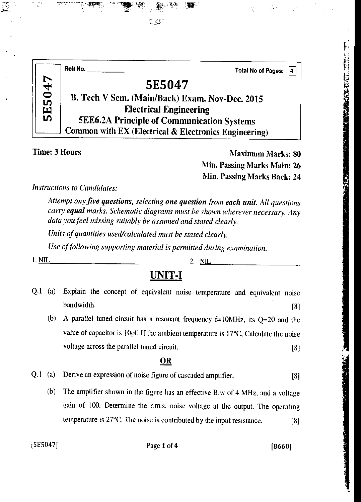|              | Roll No.<br><b>Total No of Pages:</b>                 |
|--------------|-------------------------------------------------------|
|              | 5E5047                                                |
| <b>SE504</b> | B. Tech V Sem. (Main/Back) Exam. Nov-Dec. 2015        |
|              | <b>Electrical Engineering</b>                         |
|              | <b>5EE6.2A Principle of Communication Systems</b>     |
|              | Common with EX (Electrical & Electronics Engineering) |

223

Time: 3 Hours Maximum Marks: 80 Min. Passing Marks Main: 26 Min. Passing Marks Back: 24

*Instructions to Candidates:* 

*Attempt any five questions, selecting one question from each unit All questions carry equal marks. Schematic diagrams must be shown wherever necessary. Any data you feel missing suitably be assumed and stated clearly.* 

*Units of quantities used/calculated must be stated clearly.* 

*Use of following supporting material is permitted during examination.* 

1. NIL 2. NIL 2. NIL

### **UNIT-I**

| Q.1 (a) Explain the concept of equivalent noise temperature and equivalent noise |  |  |  |     |
|----------------------------------------------------------------------------------|--|--|--|-----|
| bandwidth.                                                                       |  |  |  | [8] |

(b) A parallel tuned circuit has a resonant frequency  $f=10MHz$ , its  $Q=20$  and the value of capacitor is lOpf. If the ambient temperature is 17°C, Calculate the noise voltage across the parallel tuned circuit. [8]

#### OR

- Q.1 (a) Derive an expression of noise figure of cascaded amplifier. [8]
	- (b) The amplifier shown in the figure has an effective B.w of 4 MHz, and a voltage gain of 100. Determine the r.m.s. noise voltage at the output. The operating temperature is 27°C. The noise is contributed by the input resistance. [8]

[5E5047] Page 1 of 4 [8660]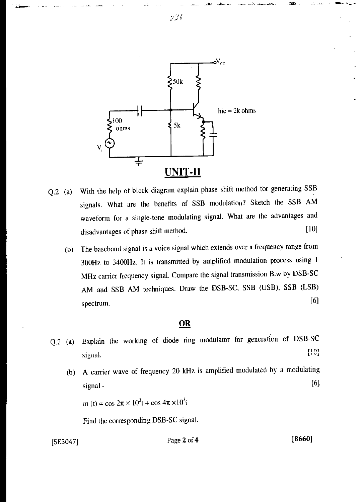

- Q.2 (a) With the help of block diagram explain phase shift method for generating SSB signals. What are the benefits of SSB modulation? Sketch the SSB AM waveform for a single-tone modulating signal. What are the advantages and disadvantages of phase shift method. [10]
	- (b) The baseband signal is a voice signal which extends over a frequency range from 300Hz to 3400Hz. It is transmitted by amplified modulation process using <sup>1</sup> MHz carrier frequency signal. Compare the signal transmission B.w by DSB-SC AM and SSB AM techniques. Draw the DSB-SC, SSB (USB), SSB (LSB) MHz carrier frequency signal. Compare the signal transmission B.w by DSB-SC<br>AM and SSB AM techniques. Draw the DSB-SC, SSB (USB), SSB (LSB)<br>spectrum. [6]

- Q.2 (a) Explain the working of diode ring modulator for generation of DSB-SC  $[10]$ signal.
	- (b) A carrier wave of frequency 20 kHz is amplified modulated by a modulating  $signal -$  [6]

 $m(t) = \cos 2\pi \times 10^3 t + \cos 4\pi \times 10^3 t$ 

Find the corresponding DSB-SC signal.

 $[5E5047]$  Page 2 of 4 [8660]

كالخبائنة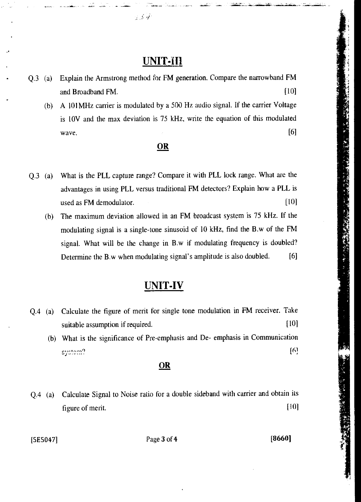### **UNIT-ill**

 $2.3\%$ 

Q.3 (a) Explain the Armstrong method for FM generation.. Compare the narrowband FM and Broadband FM. [10] (b) A 101MHz carrier is modulated by a 500 Hz audio signal. If the carrier Voltage is 10V and the max deviation is 75 kHz, write the equation of this modulated and Broadband FM. [10]<br>
A 101MHz carrier is modulated by a 500 Hz audio signal. If the carrier Voltage<br>
is 10V and the max deviation is 75 kHz, write the equation of this modulated<br>
wave. [6]<br> **OR** 

#### OR

- Q.3 (a) What is the PLL capture range? Compare it with PLL lock range. What are the advantages in using PLL versus traditional FM detectors? Explain how a PLL is used as FM demodulator. [10]
	- (b) The maximum deviation allowed in an FM broadcast system is 75 kHz. If the modulating signal is a single-tone sinusoid of 10 kHz, find the B.w of the FM signal. What will be the change in B.w if modulating frequency is doubled? Determine the B.w when modulating signal's amplitude is also doubled. [6]

### **UNIT-IV**

Q.4 (a) Calculate the figure of merit for single tone modulation in FM receiver. Take suitable assumption if required. [10] (b) What is the significance of Pre-emphasis and De- emphasis in Communication [6] system?

#### OR

Q.4 (a) Calculate Signal to Noise ratio for a double sideband with carrier and obtain its figure of merit. [10]

[5E5047] **Page 3 of 4** [8660]

「1990年の「1990年の大きくのことになっている」ということが、そのことは、このことは、このことは、このことは、このことは、このことは、このことは、このことは、このことは、このことは、このことは、このことは、このことは、このことは、このことは、このことは、このことは、このことは、このことは、このことは、このことは、このことは、このことは、このことは、このことは、このことは、このことは、このことは、このことは、このことは、このことは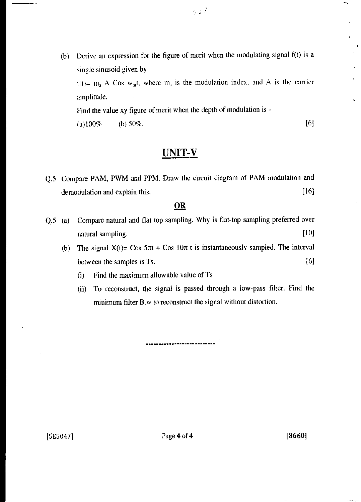(b) Derive an expression for the figure of merit when the modulating signal f(t) is a single sinusoid given by  $t(t) = m_a A$  Cos w<sub>m</sub>t, where  $m_a$  is the modulation index, and A is the carrier amplitude.

Find the value xy figure of merit when the depth of modulation is - (a)100% (b) 50%. [6]

### UNIT-V

Q.5 Compare PAM, PWM and PPM. Draw the circuit diagram of PAM modulation and demodulation and explain this. [16]

#### **OR**

- Q.5 (a) Compare natural and flat top sampling. Why is flat-top sampling preferred over natural sampling. [10] [10]
	- (b) The signal  $X(t) = \cos 5\pi t + \cos 10\pi t$  is instantaneously sampled. The interval between the samples is Ts. [6]
		- (i) Find the maximum allowable value of Ts
		- (ii) To reconstruct, the signal is passed through a low-pass filter. Find the minimum filter B.w to reconstruct the signal without distortion.

--------------------

 $[5E5047]$   $2\text{age } 4 \text{ of } 4$   $[8660]$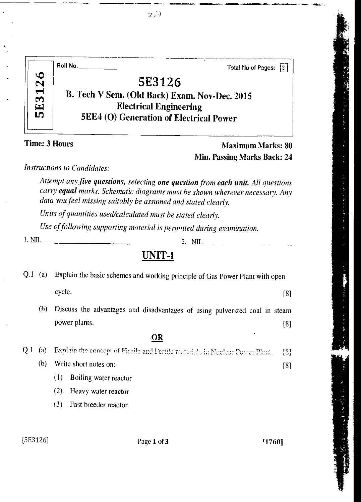|     | Roll No.<br><b>Total No of Pages:</b><br>13.   |
|-----|------------------------------------------------|
| 126 | 5E3126                                         |
|     | B. Tech V Sem. (Old Back) Exam. Nov-Dec. 2015  |
| E3  | <b>Electrical Engineering</b>                  |
| LO  | <b>5EE4 (O) Generation of Electrical Power</b> |
|     |                                                |

### **Time: 3 Hours Maximum Marks: 80** Min. Passing Marks Back: 24

*Instructions to Candidates:* 

*Attempt any five questions, selecting one question from each unit. All questions carry equal marks. Schematic diagrams must be shown wherever necessary. Any data you feel missing suitably be assumed and stated clearly.* 

*Units of quantities used/calculated must be stated clearly.* 

*Use of following supporting material is permitted during examination.* 

**1.** <u>NIL</u> 2. NIL 2. NIL 2.

### UNIT-I

| Q.I | $\left( a\right)$ | Explain the basic schemes and working principle of Gas Power Plant with open |                   |
|-----|-------------------|------------------------------------------------------------------------------|-------------------|
|     |                   | cycle.                                                                       | [8]               |
|     | (b)               | Discuss the advantages and disadvantages of using pulverized coal in steam   |                   |
|     |                   | power plants.                                                                | $\lceil 8 \rceil$ |
|     |                   | OR                                                                           |                   |
| Q.1 | (a)               | Explain the concept of Fissile and Fertile materials in Nuclear Power Plant. | [3]               |
|     | (b)               | Write short notes on:-                                                       | [8]               |
|     |                   | (1)<br>Boiling water reactor                                                 |                   |
|     |                   | (2)<br>Heavy water reactor                                                   |                   |
|     |                   | (3)<br>Fast breeder reactor                                                  |                   |
|     |                   |                                                                              |                   |

[5E3126] Page 1 of 3 1760]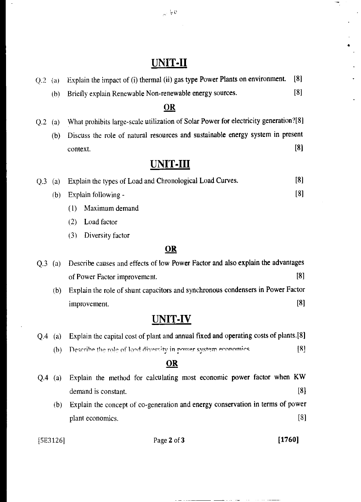### UNIT-II

- Q.2 (a) Explain the impact of (i) thermal (ii) gas type Power Plants on environment. [8]
	- (b) Briefly explain Renewable Non-renewable energy sources. [8]

#### OR

- Q.2 (a) What prohibits large-scale utilization of Solar Power for electricity generation?[8]
	- (b) Discuss the role of natural resources and sustainable energy system in present  $\blacksquare$ context.  $[8]$

### UNIT-III

|  | Q.3 (a) Explain the types of Load and Chronological Load Curves. | [8]               |
|--|------------------------------------------------------------------|-------------------|
|  | (b) Explain following $-\frac{1}{2}$                             | $\lceil 8 \rceil$ |
|  |                                                                  |                   |

- (1) Maximum demand
- (2) Load factor
- (3) Diversity factor

#### **OR**

| $O.3$ (a) | Describe causes and effects of low Power Factor and also explain the advantages |
|-----------|---------------------------------------------------------------------------------|
|           | $\lceil 8 \rceil$<br>of Power Factor improvement.                               |
|           | Explain the role of shunt capacitors and synchronous condensers in Power Factor |

improvement. [8]

### UNIT-IV

|  |  | Q.4 (a) Explain the capital cost of plant and annual fixed and operating costs of plants.[8] |
|--|--|----------------------------------------------------------------------------------------------|
|--|--|----------------------------------------------------------------------------------------------|

(b) Describe the role of load diversity in nower system economics  $[8]$ 

### **OR**

|     | Q.4 (a) Explain the method for calculating most economic power factor when KW  |                   |
|-----|--------------------------------------------------------------------------------|-------------------|
|     | demand is constant.                                                            | $\lceil 8 \rceil$ |
| (b) | Explain the concept of co-generation and energy conservation in terms of power |                   |
|     | plant economics.                                                               | $\lceil 3 \rceil$ |

[5E3126] Page 2 of 3 [1760]